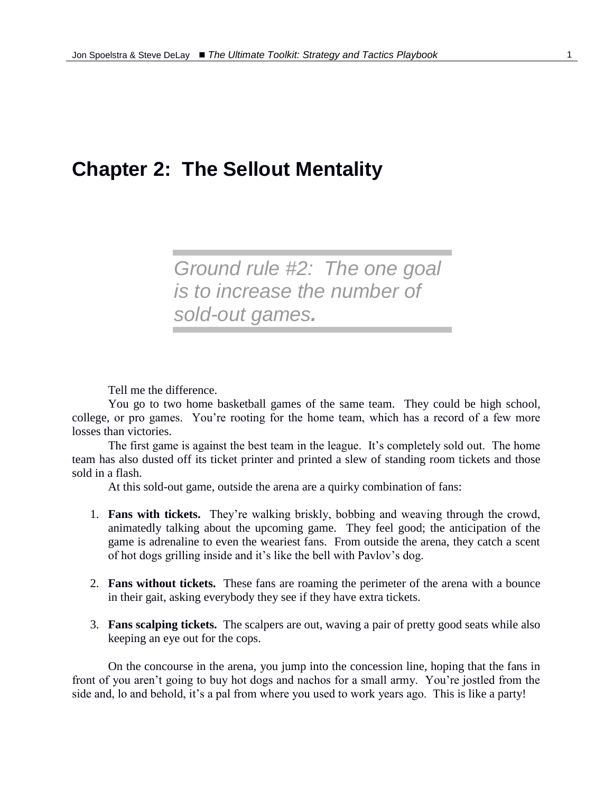# **Chapter 2: The Sellout Mentality**

*Ground rule #2: The one goal is to increase the number of sold-out games.*

Tell me the difference.

You go to two home basketball games of the same team. They could be high school, college, or pro games. You're rooting for the home team, which has a record of a few more losses than victories.

The first game is against the best team in the league. It's completely sold out. The home team has also dusted off its ticket printer and printed a slew of standing room tickets and those sold in a flash.

At this sold-out game, outside the arena are a quirky combination of fans:

- 1. **Fans with tickets.** They're walking briskly, bobbing and weaving through the crowd, animatedly talking about the upcoming game. They feel good; the anticipation of the game is adrenaline to even the weariest fans. From outside the arena, they catch a scent of hot dogs grilling inside and it's like the bell with Pavlov's dog.
- 2. **Fans without tickets.** These fans are roaming the perimeter of the arena with a bounce in their gait, asking everybody they see if they have extra tickets.
- 3. **Fans scalping tickets.** The scalpers are out, waving a pair of pretty good seats while also keeping an eye out for the cops.

On the concourse in the arena, you jump into the concession line, hoping that the fans in front of you aren't going to buy hot dogs and nachos for a small army. You're jostled from the side and, lo and behold, it's a pal from where you used to work years ago. This is like a party!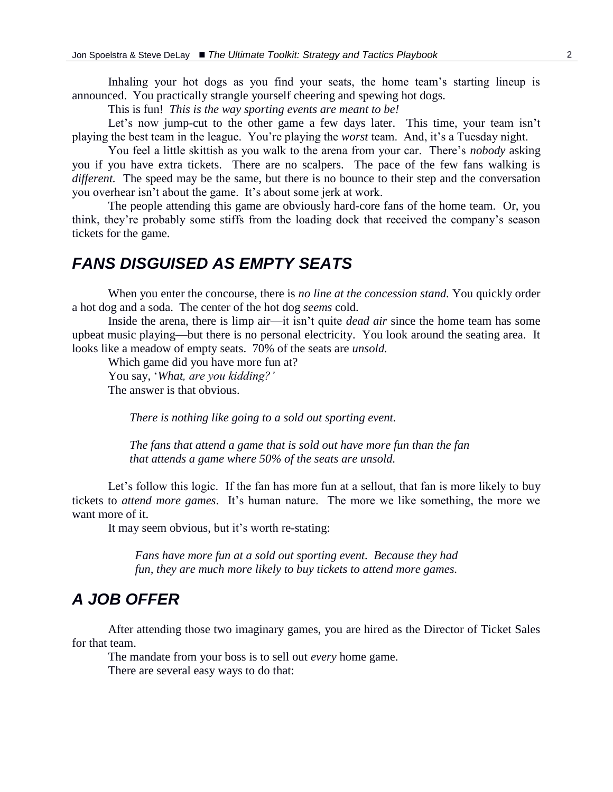Inhaling your hot dogs as you find your seats, the home team's starting lineup is announced. You practically strangle yourself cheering and spewing hot dogs.

This is fun! *This is the way sporting events are meant to be!*

Let's now jump-cut to the other game a few days later. This time, your team isn't playing the best team in the league. You're playing the *worst* team. And, it's a Tuesday night.

You feel a little skittish as you walk to the arena from your car. There's *nobody* asking you if you have extra tickets. There are no scalpers. The pace of the few fans walking is *different.* The speed may be the same, but there is no bounce to their step and the conversation you overhear isn't about the game. It's about some jerk at work.

The people attending this game are obviously hard-core fans of the home team. Or, you think, they're probably some stiffs from the loading dock that received the company's season tickets for the game.

#### *FANS DISGUISED AS EMPTY SEATS*

When you enter the concourse, there is *no line at the concession stand.* You quickly order a hot dog and a soda. The center of the hot dog *seems* cold.

Inside the arena, there is limp air—it isn't quite *dead air* since the home team has some upbeat music playing—but there is no personal electricity. You look around the seating area. It looks like a meadow of empty seats. 70% of the seats are *unsold.*

Which game did you have more fun at? You say, '*What, are you kidding?'* The answer is that obvious.

*There is nothing like going to a sold out sporting event.*

*The fans that attend a game that is sold out have more fun than the fan that attends a game where 50% of the seats are unsold.*

Let's follow this logic. If the fan has more fun at a sellout, that fan is more likely to buy tickets to *attend more games*. It's human nature. The more we like something, the more we want more of it.

It may seem obvious, but it's worth re-stating:

*Fans have more fun at a sold out sporting event. Because they had fun, they are much more likely to buy tickets to attend more games.*

### *A JOB OFFER*

After attending those two imaginary games, you are hired as the Director of Ticket Sales for that team.

The mandate from your boss is to sell out *every* home game.

There are several easy ways to do that: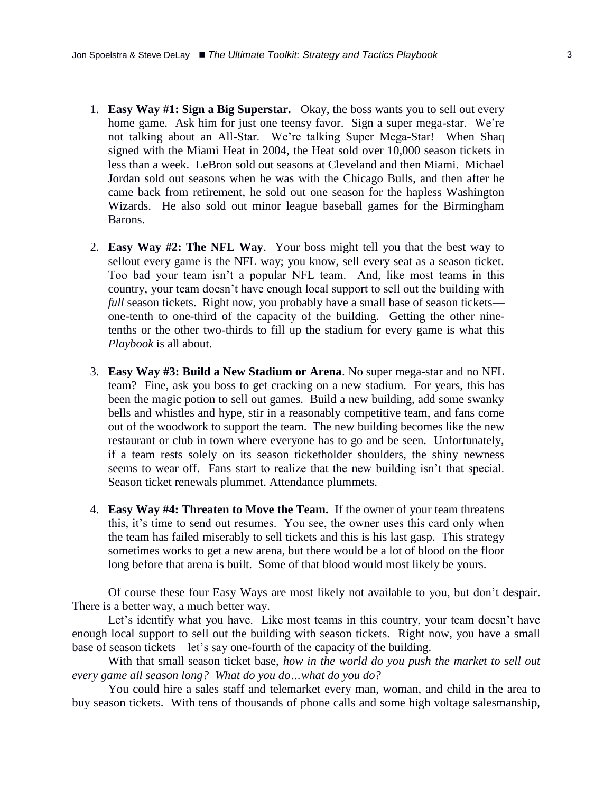- 1. **Easy Way #1: Sign a Big Superstar.** Okay, the boss wants you to sell out every home game. Ask him for just one teensy favor. Sign a super mega-star. We're not talking about an All-Star. We're talking Super Mega-Star! When Shaq signed with the Miami Heat in 2004, the Heat sold over 10,000 season tickets in less than a week. LeBron sold out seasons at Cleveland and then Miami. Michael Jordan sold out seasons when he was with the Chicago Bulls, and then after he came back from retirement, he sold out one season for the hapless Washington Wizards. He also sold out minor league baseball games for the Birmingham Barons.
- 2. **Easy Way #2: The NFL Way**. Your boss might tell you that the best way to sellout every game is the NFL way; you know, sell every seat as a season ticket. Too bad your team isn't a popular NFL team. And, like most teams in this country, your team doesn't have enough local support to sell out the building with *full* season tickets. Right now, you probably have a small base of season tickets one-tenth to one-third of the capacity of the building. Getting the other ninetenths or the other two-thirds to fill up the stadium for every game is what this *Playbook* is all about.
- 3. **Easy Way #3: Build a New Stadium or Arena**. No super mega-star and no NFL team? Fine, ask you boss to get cracking on a new stadium. For years, this has been the magic potion to sell out games. Build a new building, add some swanky bells and whistles and hype, stir in a reasonably competitive team, and fans come out of the woodwork to support the team. The new building becomes like the new restaurant or club in town where everyone has to go and be seen. Unfortunately, if a team rests solely on its season ticketholder shoulders, the shiny newness seems to wear off. Fans start to realize that the new building isn't that special. Season ticket renewals plummet. Attendance plummets.
- 4. **Easy Way #4: Threaten to Move the Team.** If the owner of your team threatens this, it's time to send out resumes. You see, the owner uses this card only when the team has failed miserably to sell tickets and this is his last gasp. This strategy sometimes works to get a new arena, but there would be a lot of blood on the floor long before that arena is built. Some of that blood would most likely be yours.

Of course these four Easy Ways are most likely not available to you, but don't despair. There is a better way, a much better way.

Let's identify what you have. Like most teams in this country, your team doesn't have enough local support to sell out the building with season tickets. Right now, you have a small base of season tickets—let's say one-fourth of the capacity of the building.

With that small season ticket base, *how in the world do you push the market to sell out every game all season long? What do you do…what do you do?*

You could hire a sales staff and telemarket every man, woman, and child in the area to buy season tickets. With tens of thousands of phone calls and some high voltage salesmanship,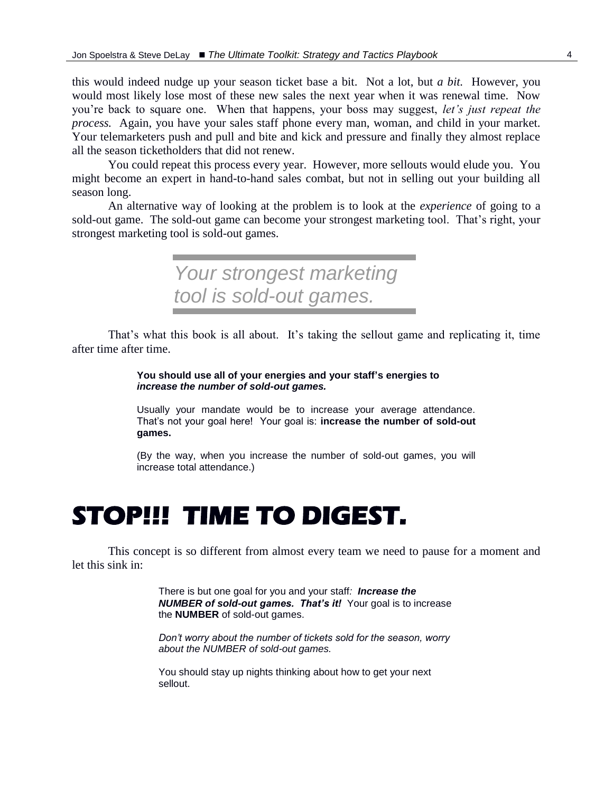this would indeed nudge up your season ticket base a bit. Not a lot, but *a bit.* However, you would most likely lose most of these new sales the next year when it was renewal time. Now you're back to square one. When that happens, your boss may suggest, *let's just repeat the process.* Again, you have your sales staff phone every man, woman, and child in your market. Your telemarketers push and pull and bite and kick and pressure and finally they almost replace all the season ticketholders that did not renew.

You could repeat this process every year. However, more sellouts would elude you. You might become an expert in hand-to-hand sales combat, but not in selling out your building all season long.

An alternative way of looking at the problem is to look at the *experience* of going to a sold-out game. The sold-out game can become your strongest marketing tool. That's right, your strongest marketing tool is sold-out games.

> *Your strongest marketing tool is sold-out games.*

That's what this book is all about. It's taking the sellout game and replicating it, time after time after time.

> **You should use all of your energies and your staff's energies to**  *increase the number of sold-out games.*

Usually your mandate would be to increase your average attendance. That's not your goal here! Your goal is: **increase the number of sold-out games.**

(By the way, when you increase the number of sold-out games, you will increase total attendance.)

# **STOP!!! TIME TO DIGEST.**

This concept is so different from almost every team we need to pause for a moment and let this sink in:

> There is but one goal for you and your staff*: Increase the NUMBER of sold-out games. That's it!* Your goal is to increase the **NUMBER** of sold-out games.

> *Don't worry about the number of tickets sold for the season, worry about the NUMBER of sold-out games.*

You should stay up nights thinking about how to get your next sellout.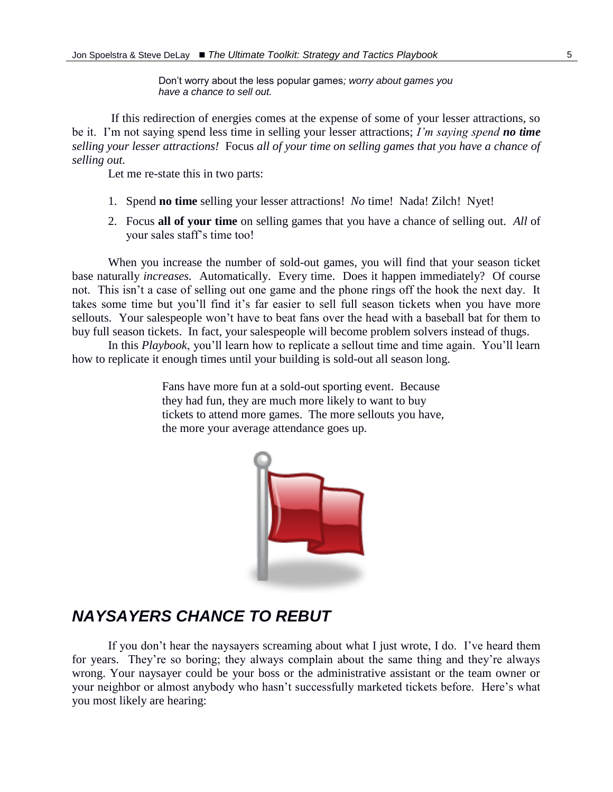Don't worry about the less popular games*; worry about games you have a chance to sell out.*

If this redirection of energies comes at the expense of some of your lesser attractions, so be it. I'm not saying spend less time in selling your lesser attractions; *I'm saying spend no time selling your lesser attractions!* Focus *all of your time on selling games that you have a chance of selling out.*

Let me re-state this in two parts:

- 1. Spend **no time** selling your lesser attractions! *No* time! Nada! Zilch! Nyet!
- 2. Focus **all of your time** on selling games that you have a chance of selling out. *All* of your sales staff's time too!

When you increase the number of sold-out games, you will find that your season ticket base naturally *increases.* Automatically. Every time. Does it happen immediately? Of course not. This isn't a case of selling out one game and the phone rings off the hook the next day. It takes some time but you'll find it's far easier to sell full season tickets when you have more sellouts. Your salespeople won't have to beat fans over the head with a baseball bat for them to buy full season tickets. In fact, your salespeople will become problem solvers instead of thugs.

In this *Playbook*, you'll learn how to replicate a sellout time and time again. You'll learn how to replicate it enough times until your building is sold-out all season long.

> Fans have more fun at a sold-out sporting event. Because they had fun, they are much more likely to want to buy tickets to attend more games. The more sellouts you have, the more your average attendance goes up*.*



### *NAYSAYERS CHANCE TO REBUT*

If you don't hear the naysayers screaming about what I just wrote, I do. I've heard them for years. They're so boring; they always complain about the same thing and they're always wrong. Your naysayer could be your boss or the administrative assistant or the team owner or your neighbor or almost anybody who hasn't successfully marketed tickets before. Here's what you most likely are hearing: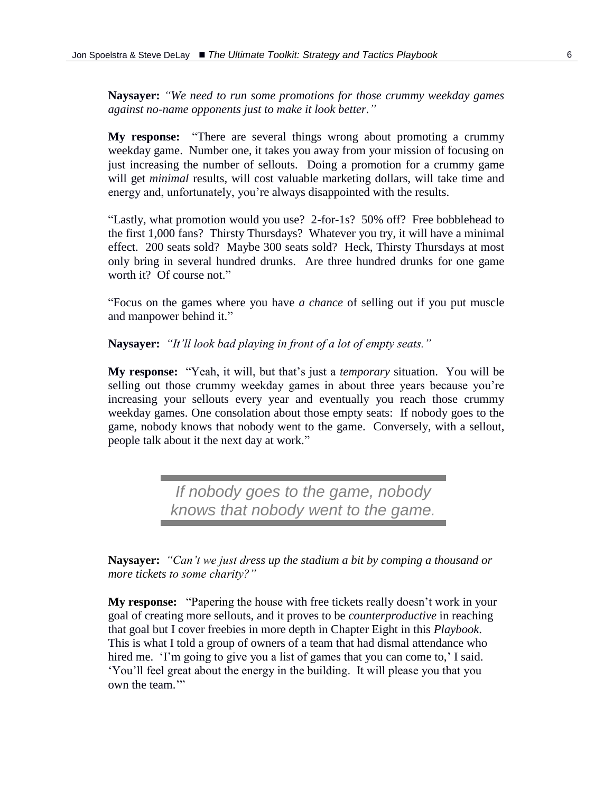**Naysayer:** *"We need to run some promotions for those crummy weekday games against no-name opponents just to make it look better."*

**My response:** "There are several things wrong about promoting a crummy weekday game. Number one, it takes you away from your mission of focusing on just increasing the number of sellouts. Doing a promotion for a crummy game will get *minimal* results, will cost valuable marketing dollars, will take time and energy and, unfortunately, you're always disappointed with the results.

"Lastly, what promotion would you use? 2-for-1s? 50% off? Free bobblehead to the first 1,000 fans? Thirsty Thursdays? Whatever you try, it will have a minimal effect. 200 seats sold? Maybe 300 seats sold? Heck, Thirsty Thursdays at most only bring in several hundred drunks. Are three hundred drunks for one game worth it? Of course not."

"Focus on the games where you have *a chance* of selling out if you put muscle and manpower behind it."

**Naysayer:** *"It'll look bad playing in front of a lot of empty seats."*

**My response:** "Yeah, it will, but that's just a *temporary* situation. You will be selling out those crummy weekday games in about three years because you're increasing your sellouts every year and eventually you reach those crummy weekday games. One consolation about those empty seats: If nobody goes to the game, nobody knows that nobody went to the game. Conversely, with a sellout, people talk about it the next day at work."

> *If nobody goes to the game, nobody knows that nobody went to the game.*

**Naysayer:** *"Can't we just dress up the stadium a bit by comping a thousand or more tickets to some charity?"*

**My response:** "Papering the house with free tickets really doesn't work in your goal of creating more sellouts, and it proves to be *counterproductive* in reaching that goal but I cover freebies in more depth in Chapter Eight in this *Playbook*. This is what I told a group of owners of a team that had dismal attendance who hired me. 'I'm going to give you a list of games that you can come to,' I said. 'You'll feel great about the energy in the building. It will please you that you own the team."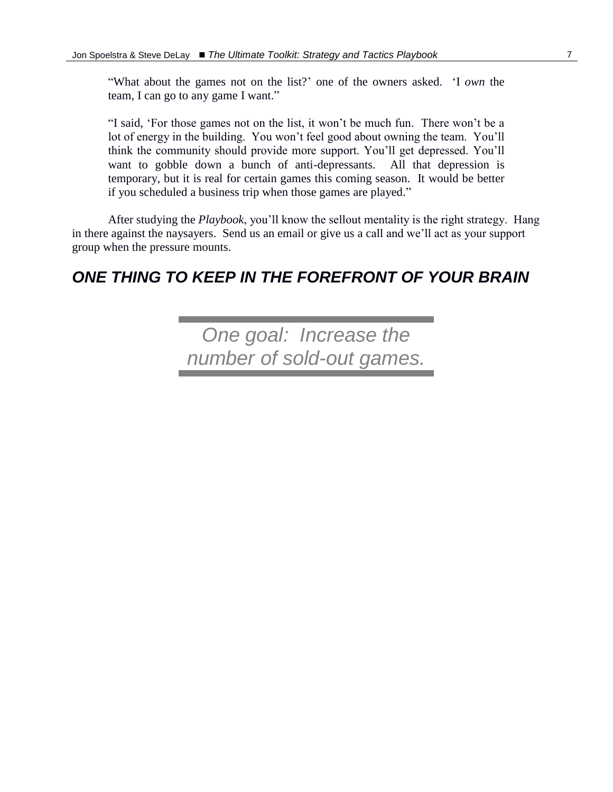"What about the games not on the list?' one of the owners asked. 'I *own* the team, I can go to any game I want."

"I said, 'For those games not on the list, it won't be much fun. There won't be a lot of energy in the building. You won't feel good about owning the team. You'll think the community should provide more support. You'll get depressed. You'll want to gobble down a bunch of anti-depressants. All that depression is temporary, but it is real for certain games this coming season. It would be better if you scheduled a business trip when those games are played."

After studying the *Playbook*, you'll know the sellout mentality is the right strategy. Hang in there against the naysayers. Send us an email or give us a call and we'll act as your support group when the pressure mounts.

## *ONE THING TO KEEP IN THE FOREFRONT OF YOUR BRAIN*

*One goal: Increase the number of sold-out games.*